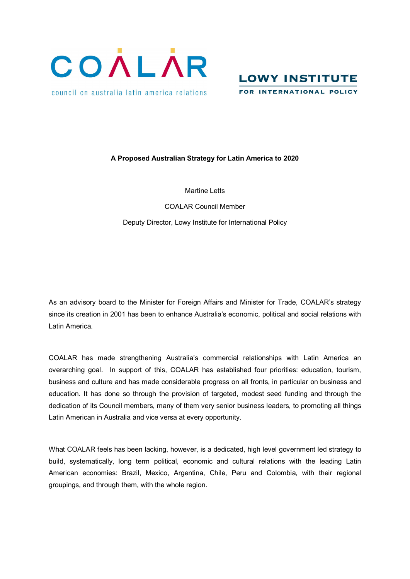



## **A Proposed Australian Strategy for Latin America to 2020**

Martine Letts

COALAR Council Member Deputy Director, Lowy Institute for International Policy

As an advisory board to the Minister for Foreign Affairs and Minister for Trade, COALAR's strategy since its creation in 2001 has been to enhance Australia's economic, political and social relations with Latin America.

COALAR has made strengthening Australia's commercial relationships with Latin America an overarching goal. In support of this, COALAR has established four priorities: education, tourism, business and culture and has made considerable progress on all fronts, in particular on business and education. It has done so through the provision of targeted, modest seed funding and through the dedication of its Council members, many of them very senior business leaders, to promoting all things Latin American in Australia and vice versa at every opportunity.

What COALAR feels has been lacking, however, is a dedicated, high level government led strategy to build, systematically, long term political, economic and cultural relations with the leading Latin American economies: Brazil, Mexico, Argentina, Chile, Peru and Colombia, with their regional groupings, and through them, with the whole region.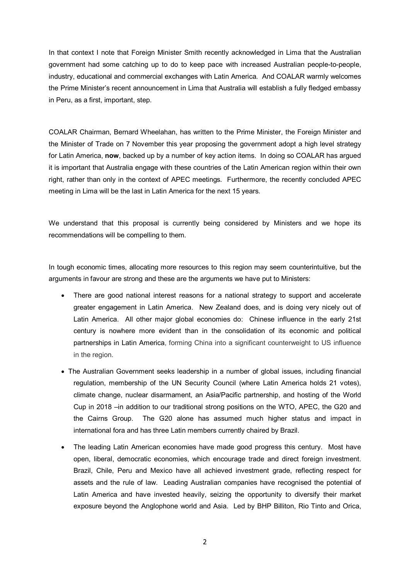In that context I note that Foreign Minister Smith recently acknowledged in Lima that the Australian government had some catching up to do to keep pace with increased Australian people-to-people, industry, educational and commercial exchanges with Latin America. And COALAR warmly welcomes the Prime Minister's recent announcement in Lima that Australia will establish a fully fledged embassy in Peru, as a first, important, step.

COALAR Chairman, Bernard Wheelahan, has written to the Prime Minister, the Foreign Minister and the Minister of Trade on 7 November this year proposing the government adopt a high level strategy for Latin America, **now**, backed up by a number of key action items. In doing so COALAR has argued it is important that Australia engage with these countries of the Latin American region within their own right, rather than only in the context of APEC meetings. Furthermore, the recently concluded APEC meeting in Lima will be the last in Latin America for the next 15 years.

We understand that this proposal is currently being considered by Ministers and we hope its recommendations will be compelling to them.

In tough economic times, allocating more resources to this region may seem counterintuitive, but the arguments in favour are strong and these are the arguments we have put to Ministers:

- There are good national interest reasons for a national strategy to support and accelerate greater engagement in Latin America. New Zealand does, and is doing very nicely out of Latin America. All other major global economies do: Chinese influence in the early 21st century is nowhere more evident than in the consolidation of its economic and political partnerships in Latin America, forming China into a significant counterweight to US influence in the region.
- · The Australian Government seeks leadership in a number of global issues, including financial regulation, membership of the UN Security Council (where Latin America holds 21 votes), climate change, nuclear disarmament, an Asia/Pacific partnership, and hosting of the World Cup in 2018 –in addition to our traditional strong positions on the WTO, APEC, the G20 and the Cairns Group. The G20 alone has assumed much higher status and impact in international fora and has three Latin members currently chaired by Brazil.
- · The leading Latin American economies have made good progress this century. Most have open, liberal, democratic economies, which encourage trade and direct foreign investment. Brazil, Chile, Peru and Mexico have all achieved investment grade, reflecting respect for assets and the rule of law. Leading Australian companies have recognised the potential of Latin America and have invested heavily, seizing the opportunity to diversify their market exposure beyond the Anglophone world and Asia. Led by BHP Billiton, Rio Tinto and Orica,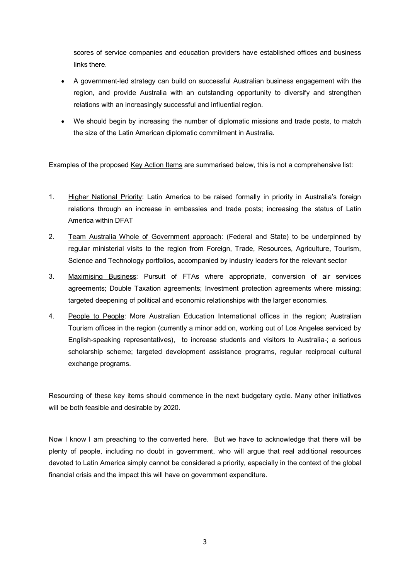scores of service companies and education providers have established offices and business links there.

- A government-led strategy can build on successful Australian business engagement with the region, and provide Australia with an outstanding opportunity to diversify and strengthen relations with an increasingly successful and influential region.
- · We should begin by increasing the number of diplomatic missions and trade posts, to match the size of the Latin American diplomatic commitment in Australia.

Examples of the proposed Key Action Items are summarised below, this is not a comprehensive list:

- 1. Higher National Priority: Latin America to be raised formally in priority in Australia's foreign relations through an increase in embassies and trade posts; increasing the status of Latin America within DFAT
- 2. Team Australia Whole of Government approach: (Federal and State) to be underpinned by regular ministerial visits to the region from Foreign, Trade, Resources, Agriculture, Tourism, Science and Technology portfolios, accompanied by industry leaders for the relevant sector
- 3. Maximising Business: Pursuit of FTAs where appropriate, conversion of air services agreements; Double Taxation agreements; Investment protection agreements where missing; targeted deepening of political and economic relationships with the larger economies.
- 4. People to People: More Australian Education International offices in the region; Australian Tourism offices in the region (currently a minor add on, working out of Los Angeles serviced by English-speaking representatives), to increase students and visitors to Australia-; a serious scholarship scheme; targeted development assistance programs, regular reciprocal cultural exchange programs.

Resourcing of these key items should commence in the next budgetary cycle. Many other initiatives will be both feasible and desirable by 2020.

Now I know I am preaching to the converted here. But we have to acknowledge that there will be plenty of people, including no doubt in government, who will argue that real additional resources devoted to Latin America simply cannot be considered a priority, especially in the context of the global financial crisis and the impact this will have on government expenditure.